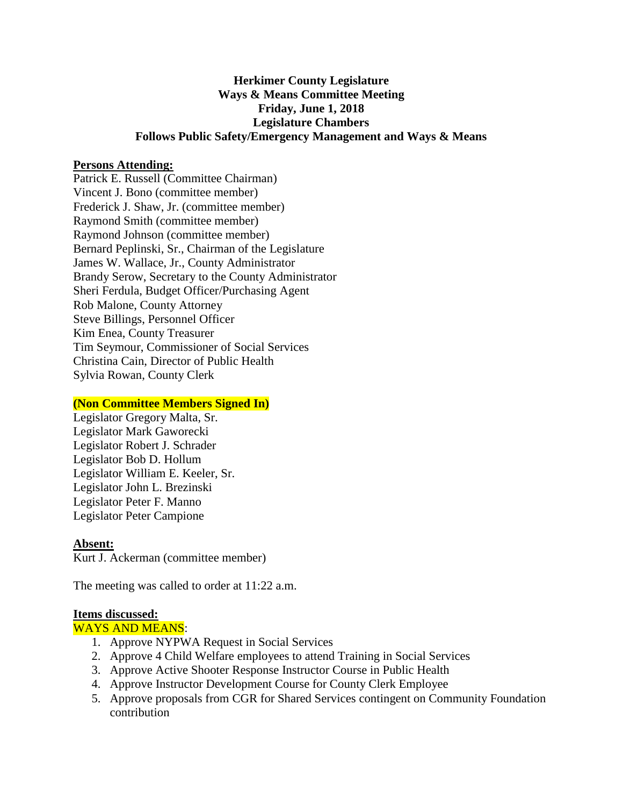# **Herkimer County Legislature Ways & Means Committee Meeting Friday, June 1, 2018 Legislature Chambers Follows Public Safety/Emergency Management and Ways & Means**

### **Persons Attending:**

Patrick E. Russell (Committee Chairman) Vincent J. Bono (committee member) Frederick J. Shaw, Jr. (committee member) Raymond Smith (committee member) Raymond Johnson (committee member) Bernard Peplinski, Sr., Chairman of the Legislature James W. Wallace, Jr., County Administrator Brandy Serow, Secretary to the County Administrator Sheri Ferdula, Budget Officer/Purchasing Agent Rob Malone, County Attorney Steve Billings, Personnel Officer Kim Enea, County Treasurer Tim Seymour, Commissioner of Social Services Christina Cain, Director of Public Health Sylvia Rowan, County Clerk

### **(Non Committee Members Signed In)**

Legislator Gregory Malta, Sr. Legislator Mark Gaworecki Legislator Robert J. Schrader Legislator Bob D. Hollum Legislator William E. Keeler, Sr. Legislator John L. Brezinski Legislator Peter F. Manno Legislator Peter Campione

#### **Absent:**

Kurt J. Ackerman (committee member)

The meeting was called to order at 11:22 a.m.

#### **Items discussed:**

#### WAYS AND MEANS:

- 1. Approve NYPWA Request in Social Services
- 2. Approve 4 Child Welfare employees to attend Training in Social Services
- 3. Approve Active Shooter Response Instructor Course in Public Health
- 4. Approve Instructor Development Course for County Clerk Employee
- 5. Approve proposals from CGR for Shared Services contingent on Community Foundation contribution